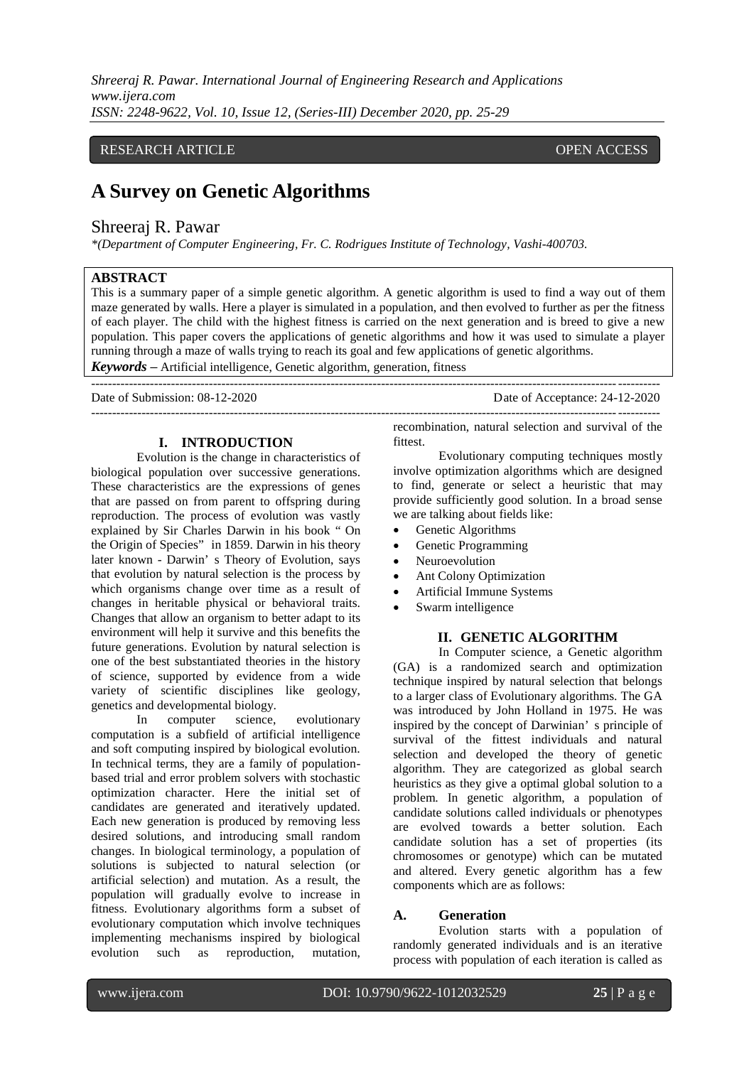*Shreeraj R. Pawar. International Journal of Engineering Research and Applications www.ijera.com ISSN: 2248-9622, Vol. 10, Issue 12, (Series-III) December 2020, pp. 25-29*

## RESEARCH ARTICLE **CONSERVERS** OPEN ACCESS

# **A Survey on Genetic Algorithms**

# Shreeraj R. Pawar

*\*(Department of Computer Engineering, Fr. C. Rodrigues Institute of Technology, Vashi-400703.* 

### **ABSTRACT**

This is a summary paper of a simple genetic algorithm. A genetic algorithm is used to find a way out of them maze generated by walls. Here a player is simulated in a population, and then evolved to further as per the fitness of each player. The child with the highest fitness is carried on the next generation and is breed to give a new population. This paper covers the applications of genetic algorithms and how it was used to simulate a player running through a maze of walls trying to reach its goal and few applications of genetic algorithms.

---------------------------------------------------------------------------------------------------------------------------------------

*Keywords* **–** Artificial intelligence, Genetic algorithm, generation, fitness ---------------------------------------------------------------------------------------------------------------------------------------

Date of Submission: 08-12-2020 Date of Acceptance: 24-12-2020

### **I. INTRODUCTION**

Evolution is the change in characteristics of biological population over successive generations. These characteristics are the expressions of genes that are passed on from parent to offspring during reproduction. The process of evolution was vastly explained by Sir Charles Darwin in his book " On the Origin of Species" in 1859. Darwin in his theory later known - Darwin' s Theory of Evolution, says that evolution by natural selection is the process by which organisms change over time as a result of changes in heritable physical or behavioral traits. Changes that allow an organism to better adapt to its environment will help it survive and this benefits the future generations. Evolution by natural selection is one of the best substantiated theories in the history of science, supported by evidence from a wide variety of scientific disciplines like geology, genetics and developmental biology.

In computer science, evolutionary computation is a subfield of artificial intelligence and soft computing inspired by biological evolution. In technical terms, they are a family of populationbased trial and error problem solvers with stochastic optimization character. Here the initial set of candidates are generated and iteratively updated. Each new generation is produced by removing less desired solutions, and introducing small random changes. In biological terminology, a population of solutions is subjected to natural selection (or artificial selection) and mutation. As a result, the population will gradually evolve to increase in fitness. Evolutionary algorithms form a subset of evolutionary computation which involve techniques implementing mechanisms inspired by biological evolution such as reproduction, mutation,

recombination, natural selection and survival of the fittest.

Evolutionary computing techniques mostly involve optimization algorithms which are designed to find, generate or select a heuristic that may provide sufficiently good solution. In a broad sense we are talking about fields like:

- Genetic Algorithms
- Genetic Programming
- Neuroevolution
- Ant Colony Optimization
- Artificial Immune Systems
- Swarm intelligence

### **II. GENETIC ALGORITHM**

In Computer science, a Genetic algorithm (GA) is a randomized search and optimization technique inspired by natural selection that belongs to a larger class of Evolutionary algorithms. The GA was introduced by John Holland in 1975. He was inspired by the concept of Darwinian' s principle of survival of the fittest individuals and natural selection and developed the theory of genetic algorithm. They are categorized as global search heuristics as they give a optimal global solution to a problem. In genetic algorithm, a population of candidate solutions called individuals or phenotypes are evolved towards a better solution. Each candidate solution has a set of properties (its chromosomes or genotype) which can be mutated and altered. Every genetic algorithm has a few components which are as follows:

### **A. Generation**

Evolution starts with a population of randomly generated individuals and is an iterative process with population of each iteration is called as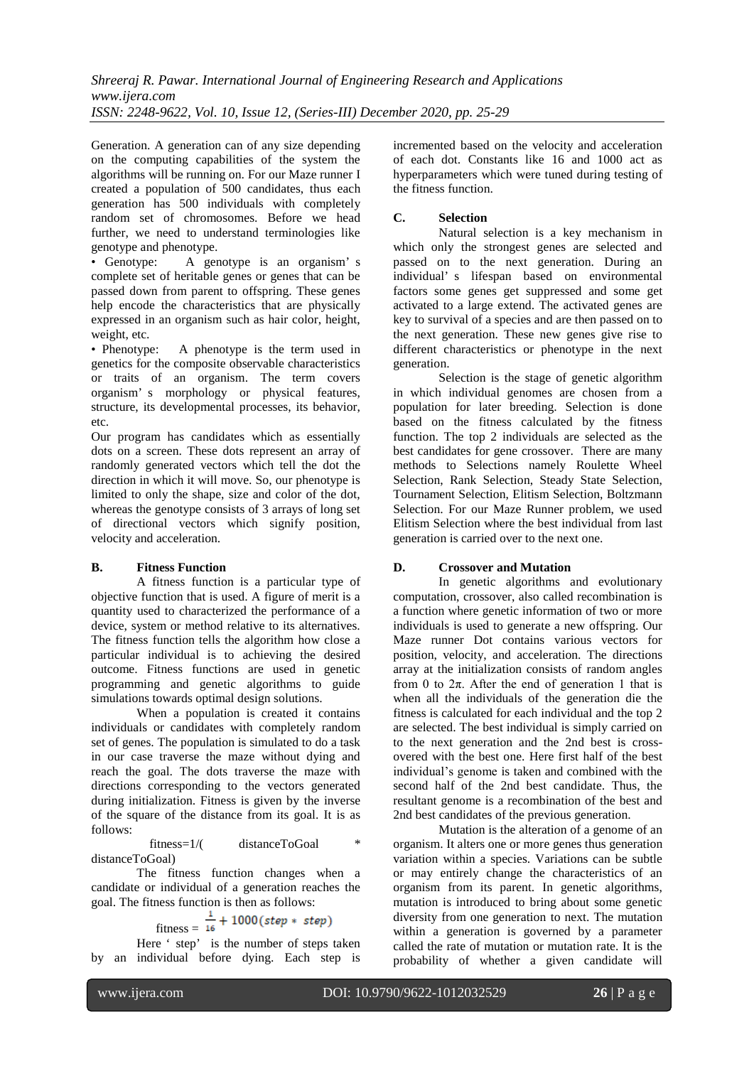Generation. A generation can of any size depending on the computing capabilities of the system the algorithms will be running on. For our Maze runner I created a population of 500 candidates, thus each generation has 500 individuals with completely random set of chromosomes. Before we head further, we need to understand terminologies like genotype and phenotype.

• Genotype: A genotype is an organism' s complete set of heritable genes or genes that can be passed down from parent to offspring. These genes help encode the characteristics that are physically expressed in an organism such as hair color, height, weight, etc.

• Phenotype: A phenotype is the term used in genetics for the composite observable characteristics or traits of an organism. The term covers organism' s morphology or physical features, structure, its developmental processes, its behavior, etc.

Our program has candidates which as essentially dots on a screen. These dots represent an array of randomly generated vectors which tell the dot the direction in which it will move. So, our phenotype is limited to only the shape, size and color of the dot, whereas the genotype consists of 3 arrays of long set of directional vectors which signify position, velocity and acceleration.

### **B. Fitness Function**

A fitness function is a particular type of objective function that is used. A figure of merit is a quantity used to characterized the performance of a device, system or method relative to its alternatives. The fitness function tells the algorithm how close a particular individual is to achieving the desired outcome. Fitness functions are used in genetic programming and genetic algorithms to guide simulations towards optimal design solutions.

When a population is created it contains individuals or candidates with completely random set of genes. The population is simulated to do a task in our case traverse the maze without dying and reach the goal. The dots traverse the maze with directions corresponding to the vectors generated during initialization. Fitness is given by the inverse of the square of the distance from its goal. It is as follows:

 fitness=1/( distanceToGoal \* distanceToGoal)

The fitness function changes when a candidate or individual of a generation reaches the goal. The fitness function is then as follows:

$$
fitness = \frac{1}{16} + 1000 \, (step * step)
$$

Here ' step' is the number of steps taken by an individual before dying. Each step is

incremented based on the velocity and acceleration of each dot. Constants like 16 and 1000 act as hyperparameters which were tuned during testing of the fitness function.

# **C. Selection**

Natural selection is a key mechanism in which only the strongest genes are selected and passed on to the next generation. During an individual' s lifespan based on environmental factors some genes get suppressed and some get activated to a large extend. The activated genes are key to survival of a species and are then passed on to the next generation. These new genes give rise to different characteristics or phenotype in the next generation.

Selection is the stage of genetic algorithm in which individual genomes are chosen from a population for later breeding. Selection is done based on the fitness calculated by the fitness function. The top 2 individuals are selected as the best candidates for gene crossover. There are many methods to Selections namely Roulette Wheel Selection, Rank Selection, Steady State Selection, Tournament Selection, Elitism Selection, Boltzmann Selection. For our Maze Runner problem, we used Elitism Selection where the best individual from last generation is carried over to the next one.

# **D. Crossover and Mutation**

In genetic algorithms and evolutionary computation, crossover, also called recombination is a function where genetic information of two or more individuals is used to generate a new offspring. Our Maze runner Dot contains various vectors for position, velocity, and acceleration. The directions array at the initialization consists of random angles from 0 to  $2\pi$ . After the end of generation 1 that is when all the individuals of the generation die the fitness is calculated for each individual and the top 2 are selected. The best individual is simply carried on to the next generation and the 2nd best is crossovered with the best one. Here first half of the best individual's genome is taken and combined with the second half of the 2nd best candidate. Thus, the resultant genome is a recombination of the best and 2nd best candidates of the previous generation.

Mutation is the alteration of a genome of an organism. It alters one or more genes thus generation variation within a species. Variations can be subtle or may entirely change the characteristics of an organism from its parent. In genetic algorithms, mutation is introduced to bring about some genetic diversity from one generation to next. The mutation within a generation is governed by a parameter called the rate of mutation or mutation rate. It is the probability of whether a given candidate will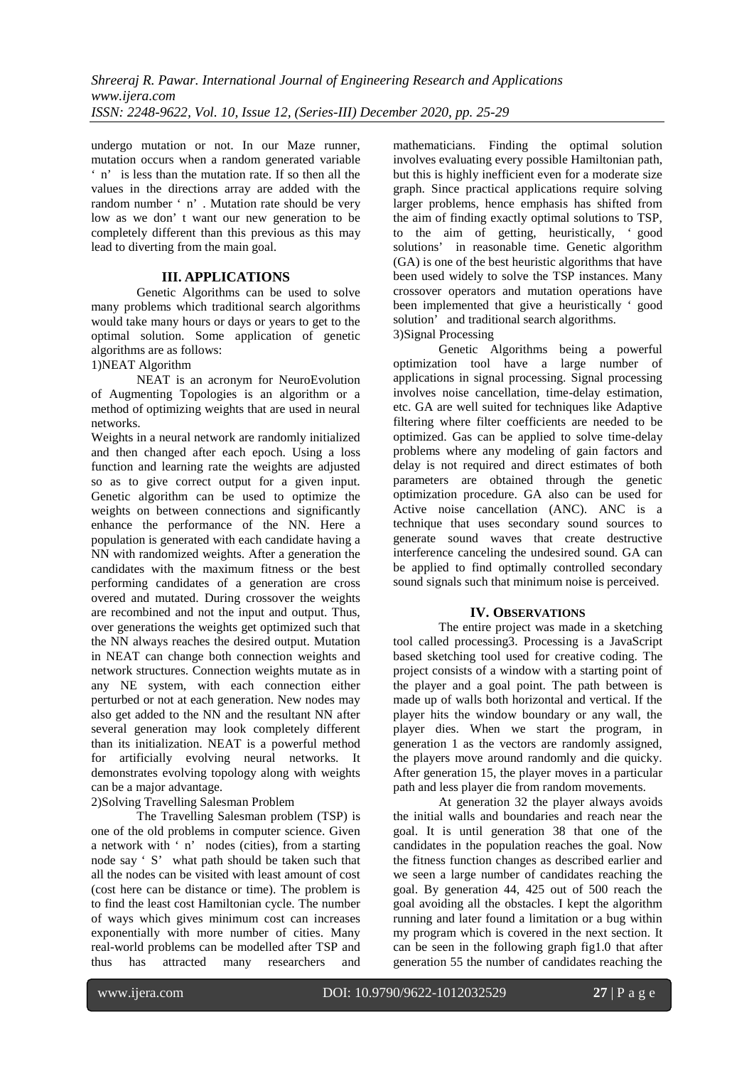undergo mutation or not. In our Maze runner, mutation occurs when a random generated variable ' n' is less than the mutation rate. If so then all the values in the directions array are added with the random number ' n' . Mutation rate should be very low as we don' t want our new generation to be completely different than this previous as this may lead to diverting from the main goal.

### **III. APPLICATIONS**

Genetic Algorithms can be used to solve many problems which traditional search algorithms would take many hours or days or years to get to the optimal solution. Some application of genetic algorithms are as follows:

# 1)NEAT Algorithm

NEAT is an acronym for NeuroEvolution of Augmenting Topologies is an algorithm or a method of optimizing weights that are used in neural networks.

Weights in a neural network are randomly initialized and then changed after each epoch. Using a loss function and learning rate the weights are adjusted so as to give correct output for a given input. Genetic algorithm can be used to optimize the weights on between connections and significantly enhance the performance of the NN. Here a population is generated with each candidate having a NN with randomized weights. After a generation the candidates with the maximum fitness or the best performing candidates of a generation are cross overed and mutated. During crossover the weights are recombined and not the input and output. Thus, over generations the weights get optimized such that the NN always reaches the desired output. Mutation in NEAT can change both connection weights and network structures. Connection weights mutate as in any NE system, with each connection either perturbed or not at each generation. New nodes may also get added to the NN and the resultant NN after several generation may look completely different than its initialization. NEAT is a powerful method for artificially evolving neural networks. It demonstrates evolving topology along with weights can be a major advantage.

2)Solving Travelling Salesman Problem

The Travelling Salesman problem (TSP) is one of the old problems in computer science. Given a network with ' n' nodes (cities), from a starting node say ' S' what path should be taken such that all the nodes can be visited with least amount of cost (cost here can be distance or time). The problem is to find the least cost Hamiltonian cycle. The number of ways which gives minimum cost can increases exponentially with more number of cities. Many real-world problems can be modelled after TSP and thus has attracted many researchers and

mathematicians. Finding the optimal solution involves evaluating every possible Hamiltonian path, but this is highly inefficient even for a moderate size graph. Since practical applications require solving larger problems, hence emphasis has shifted from the aim of finding exactly optimal solutions to TSP, to the aim of getting, heuristically, ' good solutions' in reasonable time. Genetic algorithm (GA) is one of the best heuristic algorithms that have been used widely to solve the TSP instances. Many crossover operators and mutation operations have been implemented that give a heuristically ' good solution' and traditional search algorithms.

3)Signal Processing

Genetic Algorithms being a powerful optimization tool have a large number of applications in signal processing. Signal processing involves noise cancellation, time-delay estimation, etc. GA are well suited for techniques like Adaptive filtering where filter coefficients are needed to be optimized. Gas can be applied to solve time-delay problems where any modeling of gain factors and delay is not required and direct estimates of both parameters are obtained through the genetic optimization procedure. GA also can be used for Active noise cancellation (ANC). ANC is a technique that uses secondary sound sources to generate sound waves that create destructive interference canceling the undesired sound. GA can be applied to find optimally controlled secondary sound signals such that minimum noise is perceived.

#### **IV. OBSERVATIONS**

The entire project was made in a sketching tool called processing3. Processing is a JavaScript based sketching tool used for creative coding. The project consists of a window with a starting point of the player and a goal point. The path between is made up of walls both horizontal and vertical. If the player hits the window boundary or any wall, the player dies. When we start the program, in generation 1 as the vectors are randomly assigned, the players move around randomly and die quicky. After generation 15, the player moves in a particular path and less player die from random movements.

At generation 32 the player always avoids the initial walls and boundaries and reach near the goal. It is until generation 38 that one of the candidates in the population reaches the goal. Now the fitness function changes as described earlier and we seen a large number of candidates reaching the goal. By generation 44, 425 out of 500 reach the goal avoiding all the obstacles. I kept the algorithm running and later found a limitation or a bug within my program which is covered in the next section. It can be seen in the following graph fig1.0 that after generation 55 the number of candidates reaching the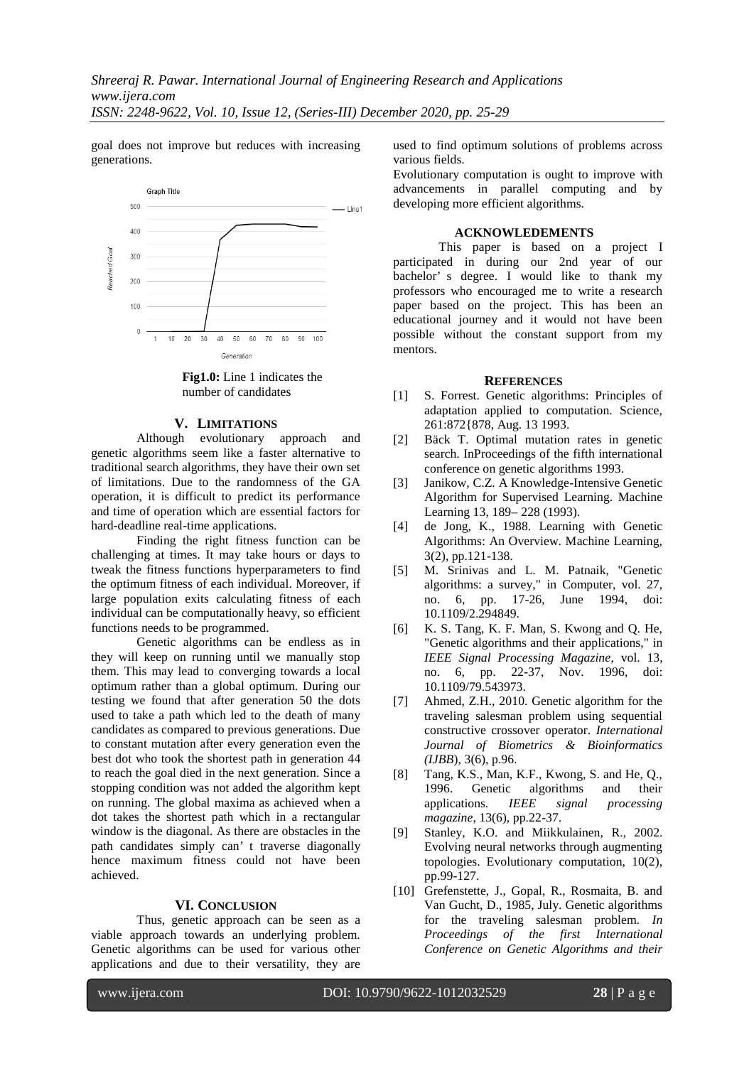goal does not improve but reduces with increasing generations.



**Fig1.0:** Line 1 indicates the number of candidates

### **V. LIMITATIONS**

Although evolutionary approach and genetic algorithms seem like a faster alternative to traditional search algorithms, they have their own set of limitations. Due to the randomness of the GA operation, it is difficult to predict its performance and time of operation which are essential factors for hard-deadline real-time applications.

Finding the right fitness function can be challenging at times. It may take hours or days to tweak the fitness functions hyperparameters to find the optimum fitness of each individual. Moreover, if large population exits calculating fitness of each individual can be computationally heavy, so efficient functions needs to be programmed.

Genetic algorithms can be endless as in they will keep on running until we manually stop them. This may lead to converging towards a local optimum rather than a global optimum. During our testing we found that after generation 50 the dots used to take a path which led to the death of many candidates as compared to previous generations. Due to constant mutation after every generation even the best dot who took the shortest path in generation 44 to reach the goal died in the next generation. Since a stopping condition was not added the algorithm kept on running. The global maxima as achieved when a dot takes the shortest path which in a rectangular window is the diagonal. As there are obstacles in the path candidates simply can' t traverse diagonally hence maximum fitness could not have been achieved.

### **VI. CONCLUSION**

Thus, genetic approach can be seen as a viable approach towards an underlying problem. Genetic algorithms can be used for various other applications and due to their versatility, they are

used to find optimum solutions of problems across various fields.

Evolutionary computation is ought to improve with advancements in parallel computing and by developing more efficient algorithms.

#### **ACKNOWLEDEMENTS**

This paper is based on a project I participated in during our 2nd year of our bachelor' s degree. I would like to thank my professors who encouraged me to write a research paper based on the project. This has been an educational journey and it would not have been possible without the constant support from my mentors.

#### **REFERENCES**

- [1] S. Forrest. Genetic algorithms: Principles of adaptation applied to computation. Science, 261:872{878, Aug. 13 1993.
- [2] Bäck T. Optimal mutation rates in genetic search. InProceedings of the fifth international conference on genetic algorithms 1993.
- [3] Janikow, C.Z. A Knowledge-Intensive Genetic Algorithm for Supervised Learning. Machine Learning 13, 189– 228 (1993).
- [4] de Jong, K., 1988. Learning with Genetic Algorithms: An Overview. Machine Learning, 3(2), pp.121-138.
- [5] M. Srinivas and L. M. Patnaik, "Genetic algorithms: a survey," in Computer, vol. 27, no. 6, pp. 17-26, June 1994, doi: 10.1109/2.294849.
- [6] K. S. Tang, K. F. Man, S. Kwong and Q. He, "Genetic algorithms and their applications," in *IEEE Signal Processing Magazine*, vol. 13, 22-37, Nov. 1996, doi: 10.1109/79.543973.
- [7] Ahmed, Z.H., 2010. Genetic algorithm for the traveling salesman problem using sequential constructive crossover operator. *International Journal of Biometrics & Bioinformatics (IJBB*), 3(6), p.96.
- [8] Tang, K.S., Man, K.F., Kwong, S. and He, Q., 1996. Genetic algorithms and their applications*. IEEE signal processing magazine*, 13(6), pp.22-37.
- [9] Stanley, K.O. and Miikkulainen, R., 2002. Evolving neural networks through augmenting topologies. Evolutionary computation, 10(2), pp.99-127.
- [10] Grefenstette, J., Gopal, R., Rosmaita, B. and Van Gucht, D., 1985, July. Genetic algorithms for the traveling salesman problem*. In Proceedings of the first International Conference on Genetic Algorithms and their*